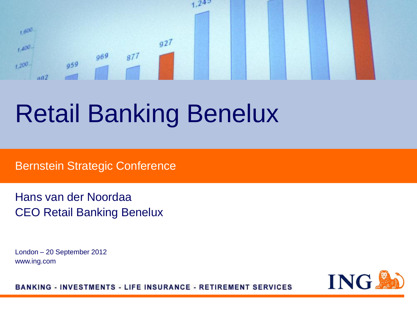

# Retail Banking Benelux

Bernstein Strategic Conference

Hans van der Noordaa CEO Retail Banking Benelux

London – 20 September 2012 www.ing.com

ING.

**BANKING - INVESTMENTS - LIFE INSURANCE - RETIREMENT SERVICES**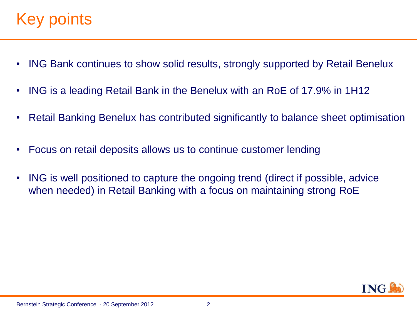## Key points.

- ING Bank continues to show solid results, strongly supported by Retail Benelux
- ING is a leading Retail Bank in the Benelux with an RoE of 17.9% in 1H12
- Retail Banking Benelux has contributed significantly to balance sheet optimisation
- Focus on retail deposits allows us to continue customer lending
- ING is well positioned to capture the ongoing trend (direct if possible, advice when needed) in Retail Banking with a focus on maintaining strong RoE

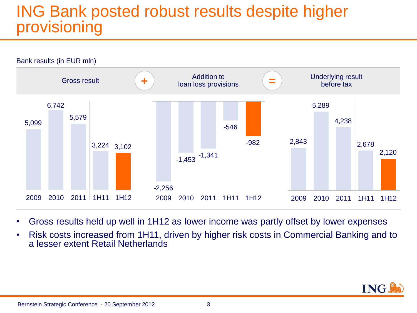## ING Bank posted robust results despite higher provisioning



- Gross results held up well in 1H12 as lower income was partly offset by lower expenses
- Risk costs increased from 1H11, driven by higher risk costs in Commercial Banking and to a lesser extent Retail Netherlands

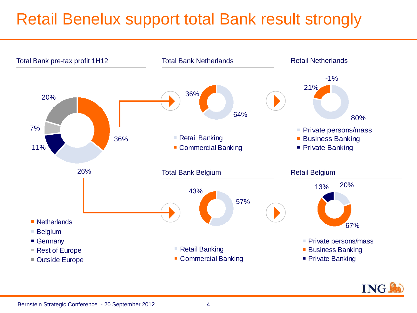## Retail Benelux support total Bank result strongly

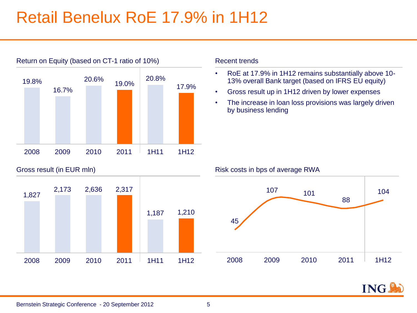## Retail Benelux RoE 17.9% in 1H12



Gross result (in EUR mln)



#### Recent trends

- RoE at 17.9% in 1H12 remains substantially above 10- 13% overall Bank target (based on IFRS EU equity)
- Gross result up in 1H12 driven by lower expenses
- The increase in loan loss provisions was largely driven by business lending

Risk costs in bps of average RWA



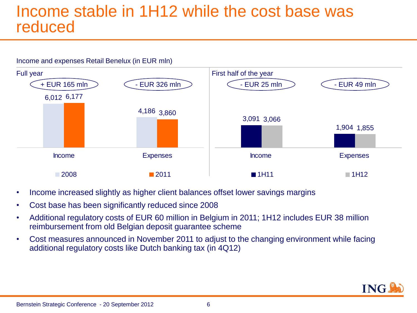### Income stable in 1H12 while the cost base was reduced

#### Income and expenses Retail Benelux (in EUR mln)



- Income increased slightly as higher client balances offset lower savings margins
- Cost base has been significantly reduced since 2008
- Additional regulatory costs of EUR 60 million in Belgium in 2011; 1H12 includes EUR 38 million reimbursement from old Belgian deposit guarantee scheme
- Cost measures announced in November 2011 to adjust to the changing environment while facing additional regulatory costs like Dutch banking tax (in 4Q12)

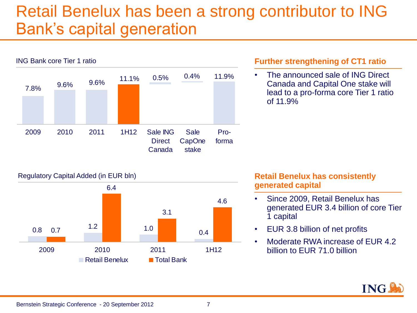## Retail Benelux has been a strong contributor to ING Bank's capital generation



#### **Further strengthening of CT1 ratio**

• The announced sale of ING Direct Canada and Capital One stake will lead to a pro-forma core Tier 1 ratio of 11.9%



#### Regulatory Capital Added (in EUR bln) **Retail Benelux has consistently Retail Benelux has consistently generated capital**

- Since 2009, Retail Benelux has generated EUR 3.4 billion of core Tier 1 capital
- EUR 3.8 billion of net profits
- Moderate RWA increase of EUR 4.2 billion to EUR 71.0 billion

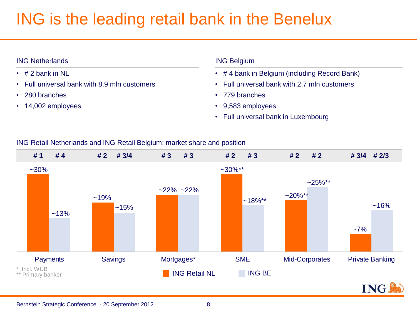## ING is the leading retail bank in the Benelux

#### ING Netherlands

- $\cdot$  # 2 bank in NL
- Full universal bank with 8.9 mln customers
- 280 branches
- 14,002 employees

#### ING Belgium

- # 4 bank in Belgium (including Record Bank)
- Full universal bank with 2.7 mln customers
- 779 branches
- 9,583 employees
- Full universal bank in Luxembourg

#### ING Retail Netherlands and ING Retail Belgium: market share and position

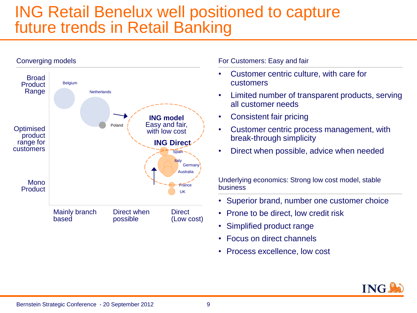### ING Retail Benelux well positioned to capture future trends in Retail Banking



For Customers: Easy and fair

- Customer centric culture, with care for customers
- Limited number of transparent products, serving all customer needs
- Consistent fair pricing
- Customer centric process management, with break-through simplicity
- Direct when possible, advice when needed

Underlying economics: Strong low cost model, stable business

- Superior brand, number one customer choice
- Prone to be direct, low credit risk
- Simplified product range
- Focus on direct channels
- Process excellence, low cost

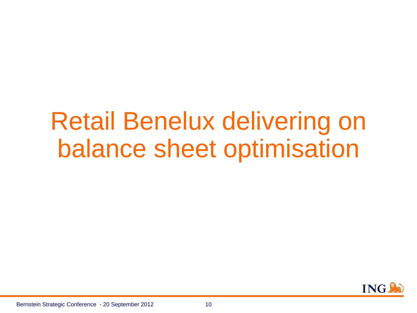# Retail Benelux delivering on balance sheet optimisation

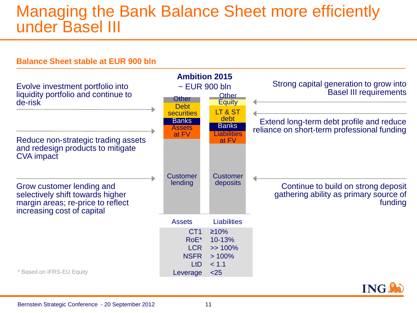### Managing the Bank Balance Sheet more efficiently under Basel III

#### **Balance Sheet stable at EUR 900 bln**



Bernstein Strategic Conference - 20 September 2012 11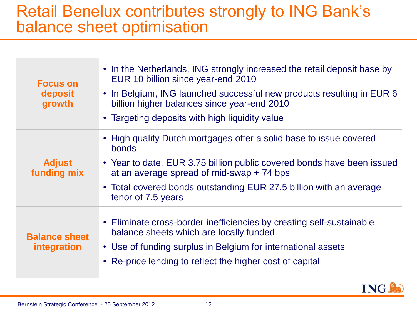### Retail Benelux contributes strongly to ING Bank's balance sheet optimisation

| <b>Focus on</b><br>deposit<br>growth | • In the Netherlands, ING strongly increased the retail deposit base by<br>EUR 10 billion since year-end 2010<br>• In Belgium, ING launched successful new products resulting in EUR 6<br>billion higher balances since year-end 2010<br>• Targeting deposits with high liquidity value          |
|--------------------------------------|--------------------------------------------------------------------------------------------------------------------------------------------------------------------------------------------------------------------------------------------------------------------------------------------------|
| <b>Adjust</b><br>funding mix         | • High quality Dutch mortgages offer a solid base to issue covered<br>bonds<br>• Year to date, EUR 3.75 billion public covered bonds have been issued<br>at an average spread of mid-swap $+ 74$ bps<br>• Total covered bonds outstanding EUR 27.5 billion with an average<br>tenor of 7.5 years |
| <b>Balance sheet</b><br>integration  | • Eliminate cross-border inefficiencies by creating self-sustainable<br>balance sheets which are locally funded<br>• Use of funding surplus in Belgium for international assets<br>• Re-price lending to reflect the higher cost of capital                                                      |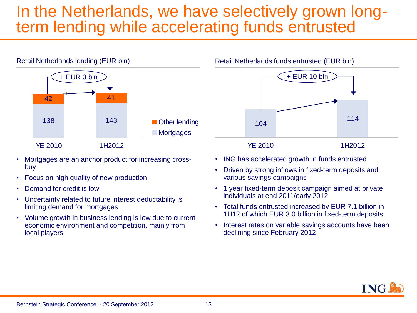## In the Netherlands, we have selectively grown longterm lending while accelerating funds entrusted



- Mortgages are an anchor product for increasing crossbuy
- Focus on high quality of new production
- Demand for credit is low
- Uncertainty related to future interest deductability is limiting demand for mortgages
- Volume growth in business lending is low due to current economic environment and competition, mainly from local players

Retail Netherlands funds entrusted (EUR bln)



- ING has accelerated growth in funds entrusted
- Driven by strong inflows in fixed-term deposits and various savings campaigns
- 1 year fixed-term deposit campaign aimed at private individuals at end 2011/early 2012
- Total funds entrusted increased by EUR 7.1 billion in 1H12 of which EUR 3.0 billion in fixed-term deposits
- Interest rates on variable savings accounts have been declining since February 2012

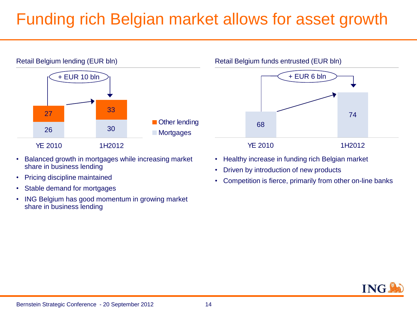## Funding rich Belgian market allows for asset growth



- Balanced growth in mortgages while increasing market share in business lending
- Pricing discipline maintained
- Stable demand for mortgages
- ING Belgium has good momentum in growing market share in business lending

68 74 YF 2010 1H2012 + EUR 6 bln

- Healthy increase in funding rich Belgian market
- Driven by introduction of new products

Retail Belgium funds entrusted (EUR bln)

• Competition is fierce, primarily from other on-line banks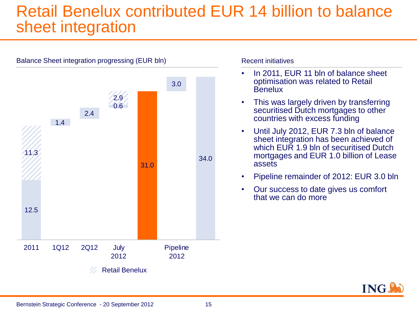## Retail Benelux contributed EUR 14 billion to balance sheet integration

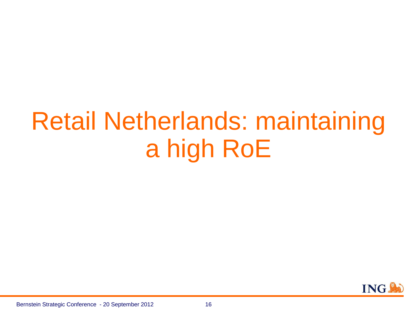# Retail Netherlands: maintaining a high RoE

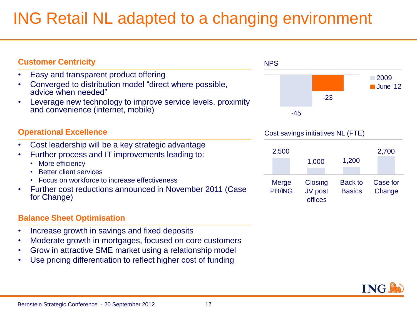## ING Retail NL adapted to a changing environment

| <b>Customer Centricity</b>                                                                                                                                                                                                    | <b>NPS</b>             |                                   |                                 |                                  |  |
|-------------------------------------------------------------------------------------------------------------------------------------------------------------------------------------------------------------------------------|------------------------|-----------------------------------|---------------------------------|----------------------------------|--|
| Easy and transparent product offering<br>Converged to distribution model "direct where possible,<br>advice when needed"<br>Leverage new technology to improve service levels, proximity<br>and convenience (internet, mobile) |                        | $-23$<br>$-45$                    |                                 | $\sqrt{2009}$<br><b>June '12</b> |  |
| <b>Operational Excellence</b>                                                                                                                                                                                                 |                        | Cost savings initiatives NL (FTE) |                                 |                                  |  |
| Cost leadership will be a key strategic advantage<br>Further process and IT improvements leading to:<br>More efficiency<br><b>Better client services</b>                                                                      | 2,500                  | 1,000                             | 1,200                           | 2,700                            |  |
| Focus on workforce to increase effectiveness<br>Further cost reductions announced in November 2011 (Case<br>for Change)                                                                                                       | Merge<br><b>PB/ING</b> | Closing<br>JV post<br>offices     | <b>Back to</b><br><b>Basics</b> | Case for<br>Change               |  |
| <b>Balance Sheet Optimisation</b>                                                                                                                                                                                             |                        |                                   |                                 |                                  |  |
| Increase growth in savings and fixed deposits<br>Moderate growth in mortgages, focused on core customers<br>Grow in attractive SME market using a relationship model                                                          |                        |                                   |                                 |                                  |  |

• Use pricing differentiation to reflect higher cost of funding

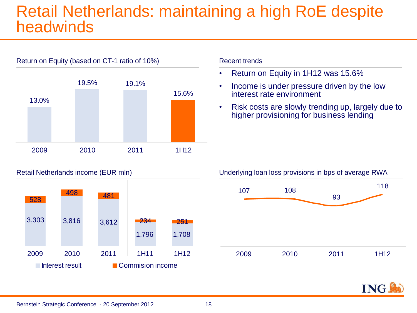### Retail Netherlands: maintaining a high RoE despite headwinds



#### Recent trends

- Return on Equity in 1H12 was 15.6%
- Income is under pressure driven by the low interest rate environment
- Risk costs are slowly trending up, largely due to higher provisioning for business lending





#### Underlying loan loss provisions in bps of average RWA



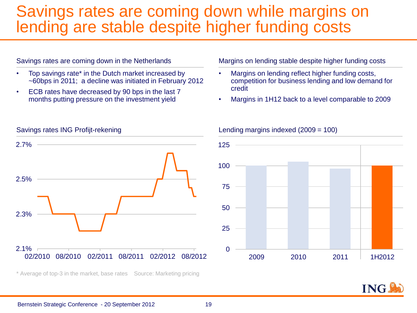### Savings rates are coming down while margins on lending are stable despite higher funding costs

#### Savings rates are coming down in the Netherlands

- Top savings rate\* in the Dutch market increased by ~60bps in 2011; a decline was initiated in February 2012
- ECB rates have decreased by 90 bps in the last 7 months putting pressure on the investment yield

Margins on lending stable despite higher funding costs

- Margins on lending reflect higher funding costs, competition for business lending and low demand for credit
- Margins in 1H12 back to a level comparable to 2009



\* Average of top-3 in the market, base rates Source: Marketing pricing

#### Lending margins indexed (2009 = 100)



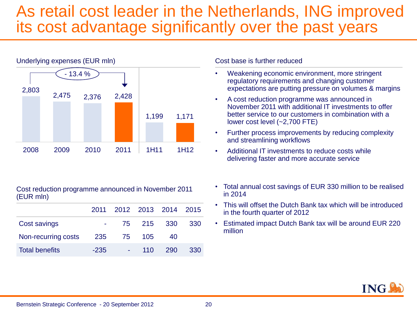## As retail cost leader in the Netherlands, ING improved its cost advantage significantly over the past years



Cost reduction programme announced in November 2011 (EUR mln)

|                       |        | 2011 2012 2013 2014 2015 |            |       |     |
|-----------------------|--------|--------------------------|------------|-------|-----|
| Cost savings          |        |                          | 75 215 330 |       | 330 |
| Non-recurring costs   | 235    |                          | 75 105     | 40    |     |
| <b>Total benefits</b> | $-235$ |                          | $110^{-7}$ | - 290 | 330 |

Cost base is further reduced

- Weakening economic environment, more stringent regulatory requirements and changing customer expectations are putting pressure on volumes & margins
- A cost reduction programme was announced in November 2011 with additional IT investments to offer better service to our customers in combination with a lower cost level (~2,700 FTE)
- Further process improvements by reducing complexity and streamlining workflows
- Additional IT investments to reduce costs while delivering faster and more accurate service
- Total annual cost savings of EUR 330 million to be realised in 2014
- This will offset the Dutch Bank tax which will be introduced in the fourth quarter of 2012
- Estimated impact Dutch Bank tax will be around EUR 220 million

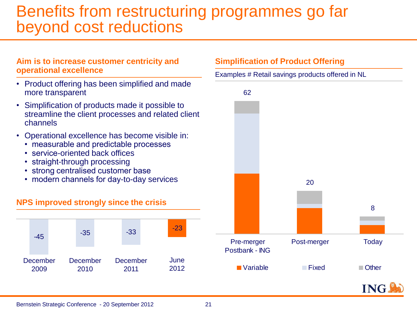## Benefits from restructuring programmes go far beyond cost reductions

#### **Aim is to increase customer centricity and operational excellence**

- Product offering has been simplified and made more transparent
- Simplification of products made it possible to streamline the client processes and related client channels
- Operational excellence has become visible in:
	- measurable and predictable processes
	- service-oriented back offices
	- straight-through processing
	- strong centralised customer base
	- modern channels for day-to-day services

#### **NPS improved strongly since the crisis**



#### **Simplification of Product Offering**

Examples # Retail savings products offered in NL



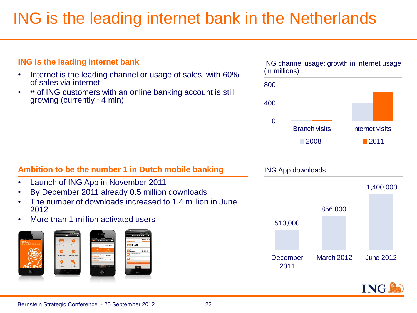## ING is the leading internet bank in the Netherlands

## • Internet is the leading channel or usage of sales, with 60% of sales via internet • # of ING customers with an online banking account is still growing (currently ~4 mln) **Ambition to be the number 1 in Dutch mobile banking** • Launch of ING App in November 2011 • By December 2011 already 0.5 million downloads

- The number of downloads increased to 1.4 million in June 2012
- More than 1 million activated users

**ING is the leading internet bank**





Branch visits **Internet visits** 

 $\Box$  2008 2011



ING channel usage: growth in internet usage (in millions)

 $\Omega$ 

400

800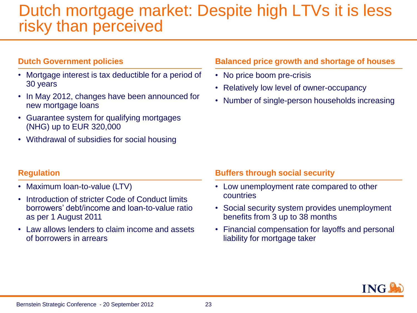### Dutch mortgage market: Despite high LTVs it is less risky than perceived

#### **Dutch Government policies**

- Mortgage interest is tax deductible for a period of 30 years
- In May 2012, changes have been announced for new mortgage loans
- Guarantee system for qualifying mortgages (NHG) up to EUR 320,000
- Withdrawal of subsidies for social housing

#### **Balanced price growth and shortage of houses**

- No price boom pre-crisis
- Relatively low level of owner-occupancy
- Number of single-person households increasing

#### **Regulation**

- Maximum loan-to-value (LTV)
- Introduction of stricter Code of Conduct limits borrowers' debt/income and loan-to-value ratio as per 1 August 2011
- Law allows lenders to claim income and assets of borrowers in arrears

#### **Buffers through social security**

- Low unemployment rate compared to other countries
- Social security system provides unemployment benefits from 3 up to 38 months
- Financial compensation for layoffs and personal liability for mortgage taker

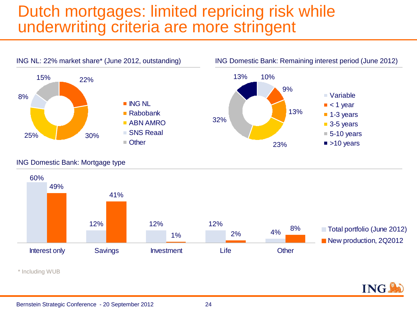## Dutch mortgages: limited repricing risk while underwriting criteria are more stringent



#### ING Domestic Bank: Mortgage type



ING.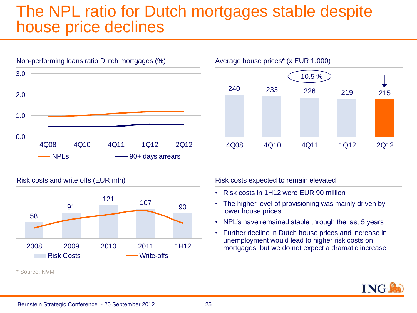### The NPL ratio for Dutch mortgages stable despite house price declines





Risk costs and write offs (EUR mln)



\* Source: NVM

Risk costs expected to remain elevated

- Risk costs in 1H12 were EUR 90 million
- The higher level of provisioning was mainly driven by lower house prices
- NPL's have remained stable through the last 5 years
- Further decline in Dutch house prices and increase in unemployment would lead to higher risk costs on mortgages, but we do not expect a dramatic increase

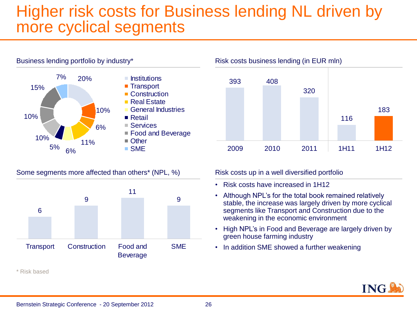## Higher risk costs for Business lending NL driven by more cyclical segments



Some segments more affected than others<sup>\*</sup> (NPL, %) Risk costs up in a well diversified portfolio



\* Risk based



- Risk costs have increased in 1H12
- Although NPL's for the total book remained relatively stable, the increase was largely driven by more cyclical segments like Transport and Construction due to the weakening in the economic environment
- High NPL's in Food and Beverage are largely driven by green house farming industry
- In addition SME showed a further weakening

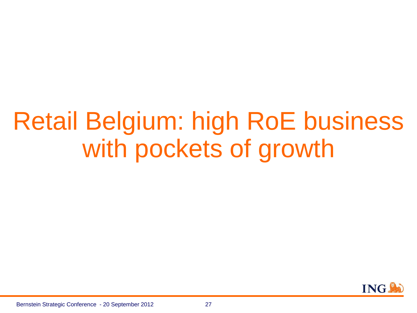# Retail Belgium: high RoE business with pockets of growth

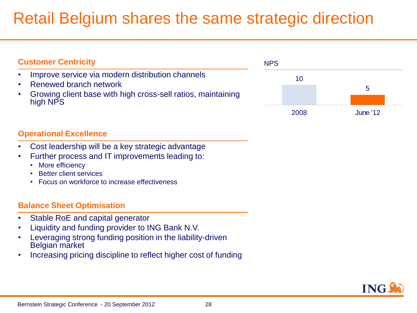## Retail Belgium shares the same strategic direction

| <b>Customer Centricity</b>                                                                                                                             | <b>NPS</b> |    |                 |
|--------------------------------------------------------------------------------------------------------------------------------------------------------|------------|----|-----------------|
| Improve service via modern distribution channels<br>Renewed branch network<br>Growing client base with high cross-sell ratios, maintaining<br>high NPS |            | 10 |                 |
|                                                                                                                                                        | 2008       |    | <b>June '12</b> |

#### **Operational Excellence**

- Cost leadership will be a key strategic advantage
- Further process and IT improvements leading to:
	- More efficiency
	- Better client services
	- Focus on workforce to increase effectiveness

#### **Balance Sheet Optimisation**

- Stable RoE and capital generator
- Liquidity and funding provider to ING Bank N.V.
- Leveraging strong funding position in the liability-driven Belgian market
- Increasing pricing discipline to reflect higher cost of funding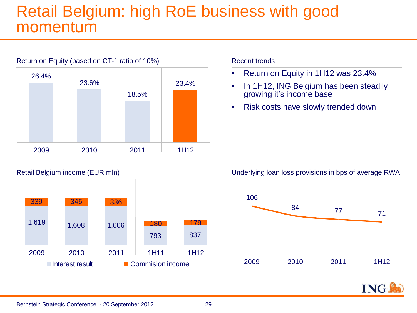## Retail Belgium: high RoE business with good momentum



#### Recent trends

- Return on Equity in 1H12 was 23.4%
- In 1H12, ING Belgium has been steadily growing it's income base
- Risk costs have slowly trended down



Retail Belgium income (EUR mln) Sales and the Underlying loan loss provisions in bps of average RWA



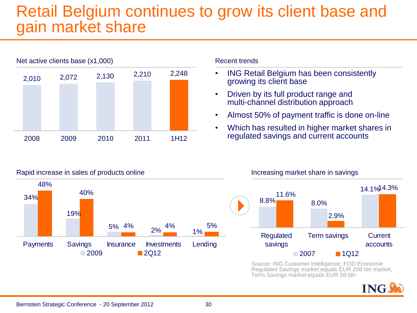## Retail Belgium continues to grow its client base and gain market share



#### Recent trends

- ING Retail Belgium has been consistently growing its client base
- Driven by its full product range and multi-channel distribution approach
- Almost 50% of payment traffic is done on-line
- Which has resulted in higher market shares in regulated savings and current accounts



#### Rapid increase in sales of products online Increasing market share in savings



Source: ING Customer Intelligence; FOD Economie Regulated Savings market equals EUR 208 bln market, Term Savings market equals EUR 59 bln

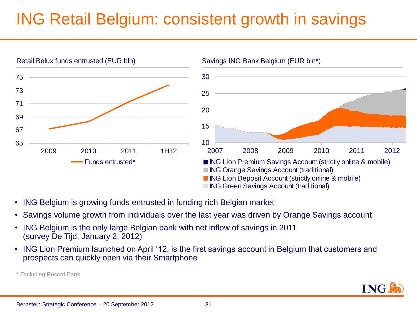## ING Retail Belgium: consistent growth in savings



- ING Belgium is growing funds entrusted in funding rich Belgian market
- Savings volume growth from individuals over the last year was driven by Orange Savings account
- ING Belgium is the only large Belgian bank with net inflow of savings in 2011 (survey De Tijd, January 2, 2012)
- ING Lion Premium launched on April '12, is the first savings account in Belgium that customers and prospects can quickly open via their Smartphone



<sup>\*</sup> Excluding Record Bank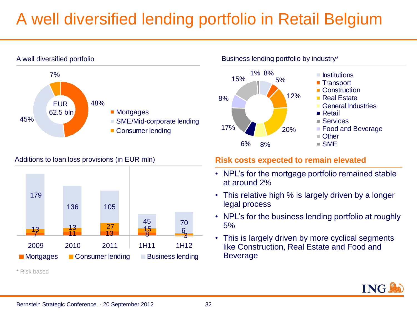## A well diversified lending portfolio in Retail Belgium



#### Additions to loan loss provisions (in EUR mln)



\* Risk based

Business lending portfolio by industry\*



- $\blacksquare$  Institutions
- Transport
- Construction
- Real Estate
- General Industries
- Services
- Food and Beverage
- 

#### **Risk costs expected to remain elevated**

- NPL's for the mortgage portfolio remained stable at around 2%
- This relative high % is largely driven by a longer legal process
- NPL's for the business lending portfolio at roughly 5%
- This is largely driven by more cyclical segments like Construction, Real Estate and Food and **Beverage**

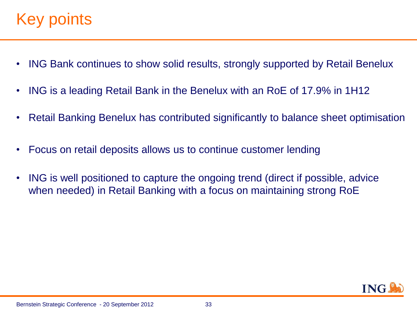## Key points.

- ING Bank continues to show solid results, strongly supported by Retail Benelux
- ING is a leading Retail Bank in the Benelux with an RoE of 17.9% in 1H12
- Retail Banking Benelux has contributed significantly to balance sheet optimisation
- Focus on retail deposits allows us to continue customer lending
- ING is well positioned to capture the ongoing trend (direct if possible, advice when needed) in Retail Banking with a focus on maintaining strong RoE